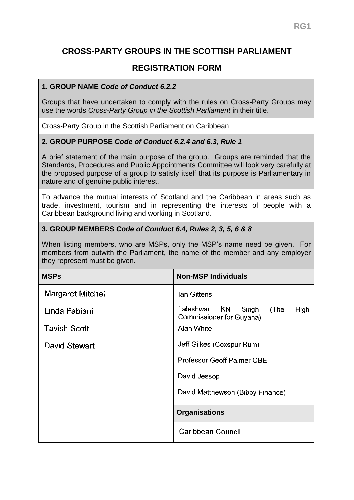# **CROSS-PARTY GROUPS IN THE SCOTTISH PARLIAMENT**

## **REGISTRATION FORM**

#### **1. GROUP NAME** *Code of Conduct 6.2.2*

Groups that have undertaken to comply with the rules on Cross-Party Groups may use the words *Cross-Party Group in the Scottish Parliament* in their title.

Cross-Party Group in the Scottish Parliament on Caribbean

#### **2. GROUP PURPOSE** *Code of Conduct 6.2.4 and 6.3, Rule 1*

A brief statement of the main purpose of the group. Groups are reminded that the Standards, Procedures and Public Appointments Committee will look very carefully at the proposed purpose of a group to satisfy itself that its purpose is Parliamentary in nature and of genuine public interest.

To advance the mutual interests of Scotland and the Caribbean in areas such as trade, investment, tourism and in representing the interests of people with a Caribbean background living and working in Scotland.

#### **3. GROUP MEMBERS** *Code of Conduct 6.4, Rules 2, 3, 5, 6 & 8*

When listing members, who are MSPs, only the MSP's name need be given. For members from outwith the Parliament, the name of the member and any employer they represent must be given.

| <b>MSPs</b>              | <b>Non-MSP Individuals</b>                                                  |
|--------------------------|-----------------------------------------------------------------------------|
| <b>Margaret Mitchell</b> | lan Gittens                                                                 |
| Linda Fabiani            | <b>KN</b><br>Laleshwar<br>Singh<br>(The<br>High<br>Commissioner for Guyana) |
| <b>Tavish Scott</b>      | <b>Alan White</b>                                                           |
| David Stewart            | Jeff Gilkes (Coxspur Rum)                                                   |
|                          | Professor Geoff Palmer OBE                                                  |
|                          | David Jessop                                                                |
|                          | David Matthewson (Bibby Finance)                                            |
|                          | <b>Organisations</b>                                                        |
|                          | Caribbean Council                                                           |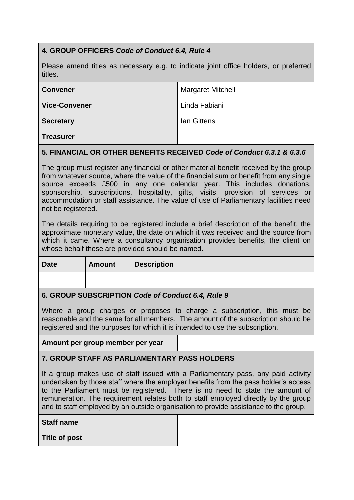## **4. GROUP OFFICERS** *Code of Conduct 6.4, Rule 4*

Please amend titles as necessary e.g. to indicate joint office holders, or preferred titles.

| <b>Convener</b>      | <b>Margaret Mitchell</b> |
|----------------------|--------------------------|
| <b>Vice-Convener</b> | Linda Fabiani            |
| <b>Secretary</b>     | lan Gittens              |
| <b>Treasurer</b>     |                          |

## **5. FINANCIAL OR OTHER BENEFITS RECEIVED** *Code of Conduct 6.3.1 & 6.3.6*

The group must register any financial or other material benefit received by the group from whatever source, where the value of the financial sum or benefit from any single source exceeds £500 in any one calendar year. This includes donations, sponsorship, subscriptions, hospitality, gifts, visits, provision of services or accommodation or staff assistance. The value of use of Parliamentary facilities need not be registered.

The details requiring to be registered include a brief description of the benefit, the approximate monetary value, the date on which it was received and the source from which it came. Where a consultancy organisation provides benefits, the client on whose behalf these are provided should be named.

| <b>Date</b>                     | <b>Amount</b> | <b>Description</b> |
|---------------------------------|---------------|--------------------|
|                                 |               |                    |
| .<br>$\sim$ $\sim$<br>.<br>---- |               |                    |

#### **6. GROUP SUBSCRIPTION** *Code of Conduct 6.4, Rule 9*

Where a group charges or proposes to charge a subscription, this must be reasonable and the same for all members. The amount of the subscription should be registered and the purposes for which it is intended to use the subscription.

**Amount per group member per year**

**7. GROUP STAFF AS PARLIAMENTARY PASS HOLDERS**

If a group makes use of staff issued with a Parliamentary pass, any paid activity undertaken by those staff where the employer benefits from the pass holder's access to the Parliament must be registered. There is no need to state the amount of remuneration. The requirement relates both to staff employed directly by the group and to staff employed by an outside organisation to provide assistance to the group.

| <b>Staff name</b>    |  |
|----------------------|--|
| <b>Title of post</b> |  |